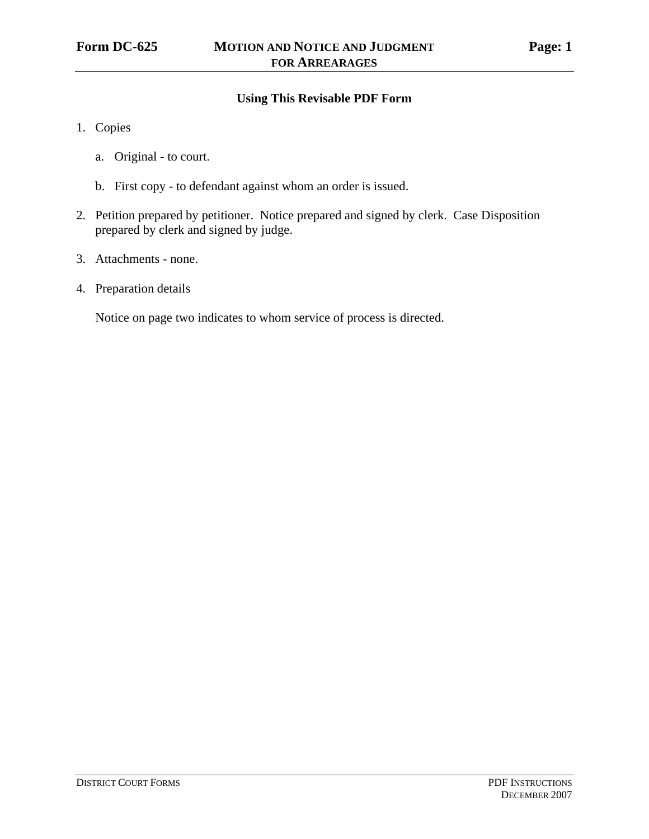# **Using This Revisable PDF Form**

- 1. Copies
	- a. Original to court.
	- b. First copy to defendant against whom an order is issued.
- 2. Petition prepared by petitioner. Notice prepared and signed by clerk. Case Disposition prepared by clerk and signed by judge.
- 3. Attachments none.
- 4. Preparation details

Notice on page two indicates to whom service of process is directed.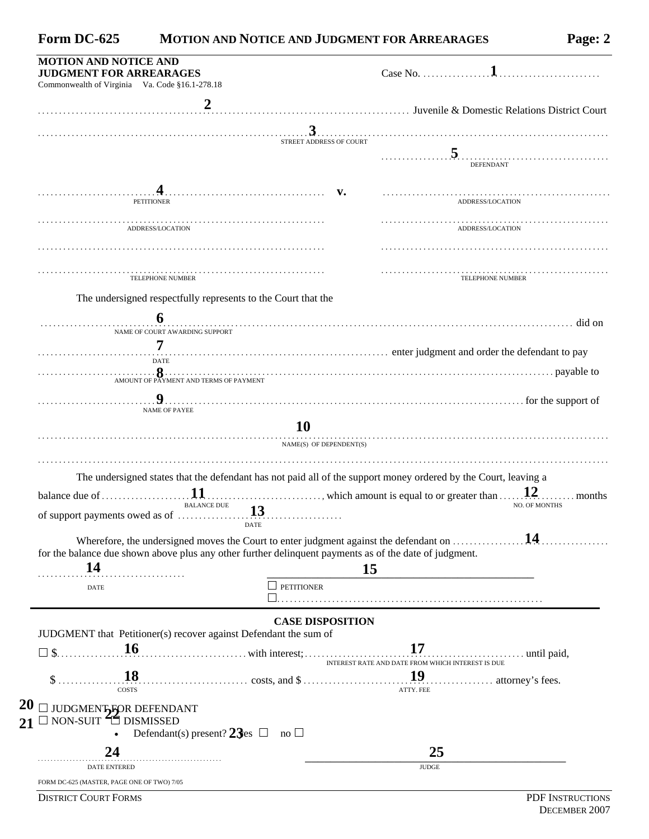| Form DC-625 | <b>MOTION AND NOTICE AND JUDGMENT FOR ARREARAGES</b> | Page: 2 |
|-------------|------------------------------------------------------|---------|
|-------------|------------------------------------------------------|---------|

| <b>JUDGMENT FOR ARREARAGES</b>                                                                                                             |                                                                                                                                  |
|--------------------------------------------------------------------------------------------------------------------------------------------|----------------------------------------------------------------------------------------------------------------------------------|
| Commonwealth of Virginia Va. Code §16.1-278.18                                                                                             |                                                                                                                                  |
|                                                                                                                                            |                                                                                                                                  |
|                                                                                                                                            | STREET ADDRESS OF COURT                                                                                                          |
|                                                                                                                                            | <b>DEFENDANT</b>                                                                                                                 |
| <b>PETITIONER</b>                                                                                                                          | ADDRESS/LOCATION                                                                                                                 |
| ADDRESS/LOCATION                                                                                                                           | ADDRESS/LOCATION                                                                                                                 |
|                                                                                                                                            |                                                                                                                                  |
| TELEPHONE NUMBER                                                                                                                           | <b>TELEPHONE NUMBER</b>                                                                                                          |
| The undersigned respectfully represents to the Court that the                                                                              |                                                                                                                                  |
|                                                                                                                                            |                                                                                                                                  |
| NAME OF COURT AWARDING SUPPORT                                                                                                             |                                                                                                                                  |
| 7<br><b>DATE</b>                                                                                                                           |                                                                                                                                  |
|                                                                                                                                            | AMOUNT OF PAYMENT AND TERMS OF PAYMENT                                                                                           |
|                                                                                                                                            |                                                                                                                                  |
| <b>NAME OF PAYEE</b>                                                                                                                       | 1. The support of the support of $\mathbf{9}$ .<br>10                                                                            |
|                                                                                                                                            | NAME(S) OF DEPENDENT(S)                                                                                                          |
| <b>BALANCE DUE</b>                                                                                                                         | The undersigned states that the defendant has not paid all of the support money ordered by the Court, leaving a<br>NO. OF MONTHS |
| <b>DATE</b><br>for the balance due shown above plus any other further delinquent payments as of the date of judgment.<br>14<br><b>DATE</b> | 14<br>Wherefore, the undersigned moves the Court to enter judgment against the defendant on<br><b>15</b><br><b>PETITIONER</b>    |
|                                                                                                                                            |                                                                                                                                  |
| JUDGMENT that Petitioner(s) recover against Defendant the sum of<br><b>16</b><br>$\Box$ \$                                                 | <b>CASE DISPOSITION</b>                                                                                                          |
| <b>COSTS</b>                                                                                                                               | ATTY. FEE                                                                                                                        |
| JUDGMENT FOR DEFENDANT<br>$\Box$ non-suit $\widehat{\Box}$ dismissed<br>$\bullet$                                                          |                                                                                                                                  |
| Defendant(s) present? $23es \Box$ no $\Box$<br>24                                                                                          | $\ldots$ which amount is equal to or greater than $\ldots$ 12. months<br>25                                                      |

**DISTRICT COURT FORMS** PDF INSTRUCTIONS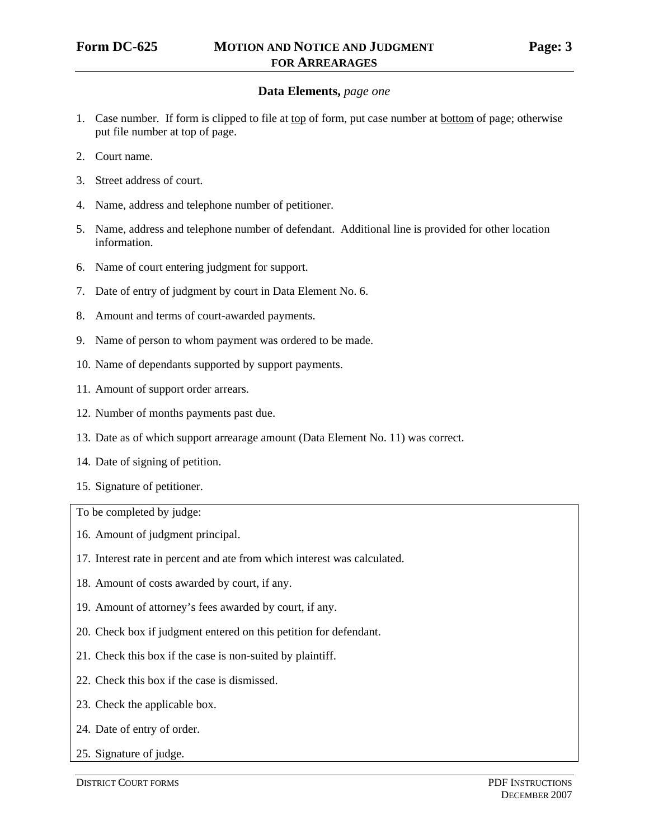#### **Data Elements,** *page one*

- 1. Case number. If form is clipped to file at top of form, put case number at bottom of page; otherwise put file number at top of page.
- 2. Court name.
- 3. Street address of court.
- 4. Name, address and telephone number of petitioner.
- 5. Name, address and telephone number of defendant. Additional line is provided for other location information.
- 6. Name of court entering judgment for support.
- 7. Date of entry of judgment by court in Data Element No. 6.
- 8. Amount and terms of court-awarded payments.
- 9. Name of person to whom payment was ordered to be made.
- 10. Name of dependants supported by support payments.
- 11. Amount of support order arrears.
- 12. Number of months payments past due.
- 13. Date as of which support arrearage amount (Data Element No. 11) was correct.
- 14. Date of signing of petition.
- 15. Signature of petitioner.

To be completed by judge:

- 16. Amount of judgment principal.
- 17. Interest rate in percent and ate from which interest was calculated.
- 18. Amount of costs awarded by court, if any.
- 19. Amount of attorney's fees awarded by court, if any.
- 20. Check box if judgment entered on this petition for defendant.
- 21. Check this box if the case is non-suited by plaintiff.
- 22. Check this box if the case is dismissed.
- 23. Check the applicable box.
- 24. Date of entry of order.
- 25. Signature of judge.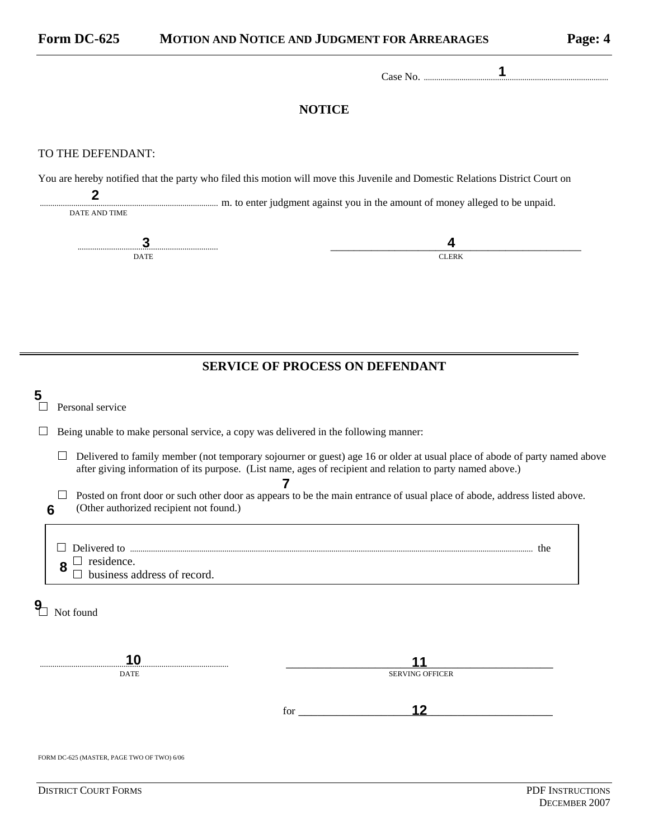Case No. ........................................................................................ **1** 

#### **NOTICE**

#### TO THE DEFENDANT:

You are hereby notified that the party who filed this motion will move this Juvenile and Domestic Relations District Court on

| DATE AND TIME | m. to enter judgment against you in the amount of money alleged to be unpaid. |
|---------------|-------------------------------------------------------------------------------|
|               |                                                                               |

## **SERVICE OF PROCESS ON DEFENDANT**

| 5                                          | Personal service                                                                                                                                                                                                                         |  |  |  |  |
|--------------------------------------------|------------------------------------------------------------------------------------------------------------------------------------------------------------------------------------------------------------------------------------------|--|--|--|--|
|                                            | Being unable to make personal service, a copy was delivered in the following manner:                                                                                                                                                     |  |  |  |  |
|                                            | Delivered to family member (not temporary sojourner or guest) age 16 or older at usual place of abode of party named above<br>after giving information of its purpose. (List name, ages of recipient and relation to party named above.) |  |  |  |  |
| 6                                          | Posted on front door or such other door as appears to be the main entrance of usual place of abode, address listed above.<br>(Other authorized recipient not found.)                                                                     |  |  |  |  |
|                                            | $\Box$ residence.<br>8<br>business address of record.                                                                                                                                                                                    |  |  |  |  |
|                                            | Not found                                                                                                                                                                                                                                |  |  |  |  |
|                                            | 10                                                                                                                                                                                                                                       |  |  |  |  |
|                                            | <b>SERVING OFFICER</b><br><b>DATE</b>                                                                                                                                                                                                    |  |  |  |  |
|                                            | 12<br>for                                                                                                                                                                                                                                |  |  |  |  |
| FORM DC-625 (MASTER, PAGE TWO OF TWO) 6/06 |                                                                                                                                                                                                                                          |  |  |  |  |